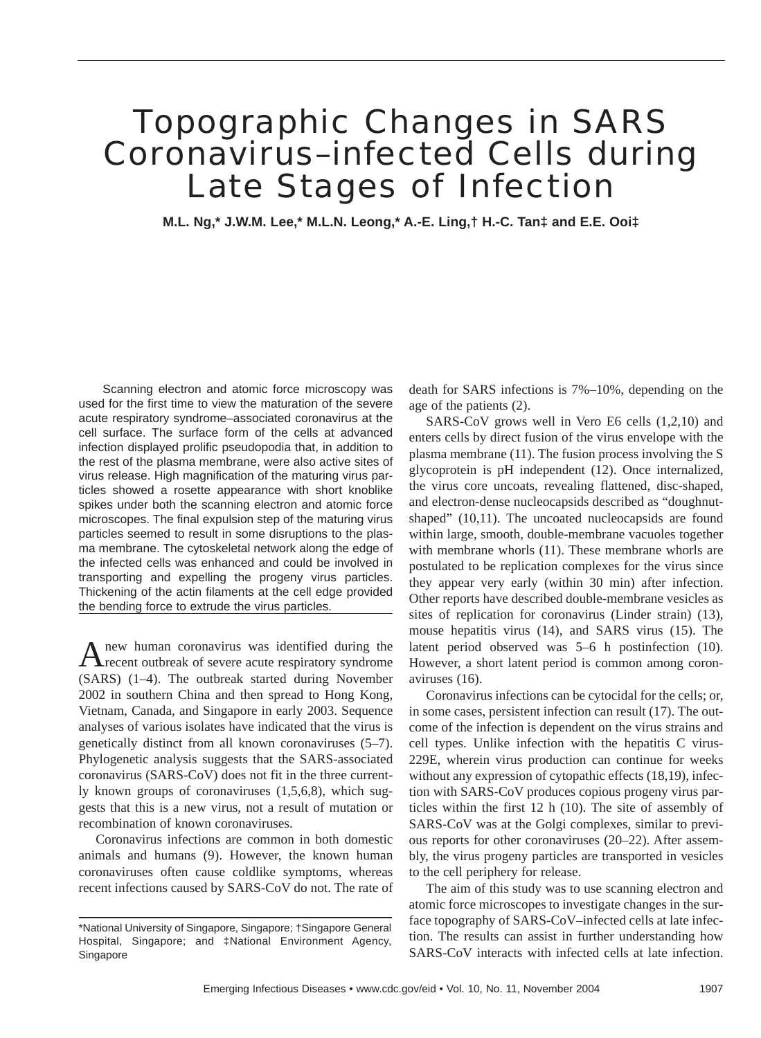# Topographic Changes in SARS Coronavirus–infected Cells during Late Stages of Infection

**M.L. Ng,\* J.W.M. Lee,\* M.L.N. Leong,\* A.-E. Ling,† H.-C. Tan‡ and E.E. Ooi‡**

Scanning electron and atomic force microscopy was used for the first time to view the maturation of the severe acute respiratory syndrome–associated coronavirus at the cell surface. The surface form of the cells at advanced infection displayed prolific pseudopodia that, in addition to the rest of the plasma membrane, were also active sites of virus release. High magnification of the maturing virus particles showed a rosette appearance with short knoblike spikes under both the scanning electron and atomic force microscopes. The final expulsion step of the maturing virus particles seemed to result in some disruptions to the plasma membrane. The cytoskeletal network along the edge of the infected cells was enhanced and could be involved in transporting and expelling the progeny virus particles. Thickening of the actin filaments at the cell edge provided the bending force to extrude the virus particles.

A new human coronavirus was identified during the recent outbreak of severe acute respiratory syndrome (SARS) (1–4). The outbreak started during November 2002 in southern China and then spread to Hong Kong, Vietnam, Canada, and Singapore in early 2003. Sequence analyses of various isolates have indicated that the virus is genetically distinct from all known coronaviruses (5–7). Phylogenetic analysis suggests that the SARS-associated coronavirus (SARS-CoV) does not fit in the three currently known groups of coronaviruses (1,5,6,8), which suggests that this is a new virus, not a result of mutation or recombination of known coronaviruses.

Coronavirus infections are common in both domestic animals and humans (9). However, the known human coronaviruses often cause coldlike symptoms, whereas recent infections caused by SARS-CoV do not. The rate of death for SARS infections is 7%–10%, depending on the age of the patients (2).

SARS-CoV grows well in Vero E6 cells (1,2,10) and enters cells by direct fusion of the virus envelope with the plasma membrane (11). The fusion process involving the S glycoprotein is pH independent (12). Once internalized, the virus core uncoats, revealing flattened, disc-shaped, and electron-dense nucleocapsids described as "doughnutshaped" (10,11). The uncoated nucleocapsids are found within large, smooth, double-membrane vacuoles together with membrane whorls (11). These membrane whorls are postulated to be replication complexes for the virus since they appear very early (within 30 min) after infection. Other reports have described double-membrane vesicles as sites of replication for coronavirus (Linder strain) (13), mouse hepatitis virus (14), and SARS virus (15). The latent period observed was 5–6 h postinfection (10). However, a short latent period is common among coronaviruses (16).

Coronavirus infections can be cytocidal for the cells; or, in some cases, persistent infection can result (17). The outcome of the infection is dependent on the virus strains and cell types. Unlike infection with the hepatitis C virus-229E, wherein virus production can continue for weeks without any expression of cytopathic effects (18,19), infection with SARS-CoV produces copious progeny virus particles within the first 12 h (10). The site of assembly of SARS-CoV was at the Golgi complexes, similar to previous reports for other coronaviruses (20–22). After assembly, the virus progeny particles are transported in vesicles to the cell periphery for release.

The aim of this study was to use scanning electron and atomic force microscopes to investigate changes in the surface topography of SARS-CoV–infected cells at late infection. The results can assist in further understanding how SARS-CoV interacts with infected cells at late infection.

<sup>\*</sup>National University of Singapore, Singapore; †Singapore General Hospital, Singapore; and ‡National Environment Agency, Singapore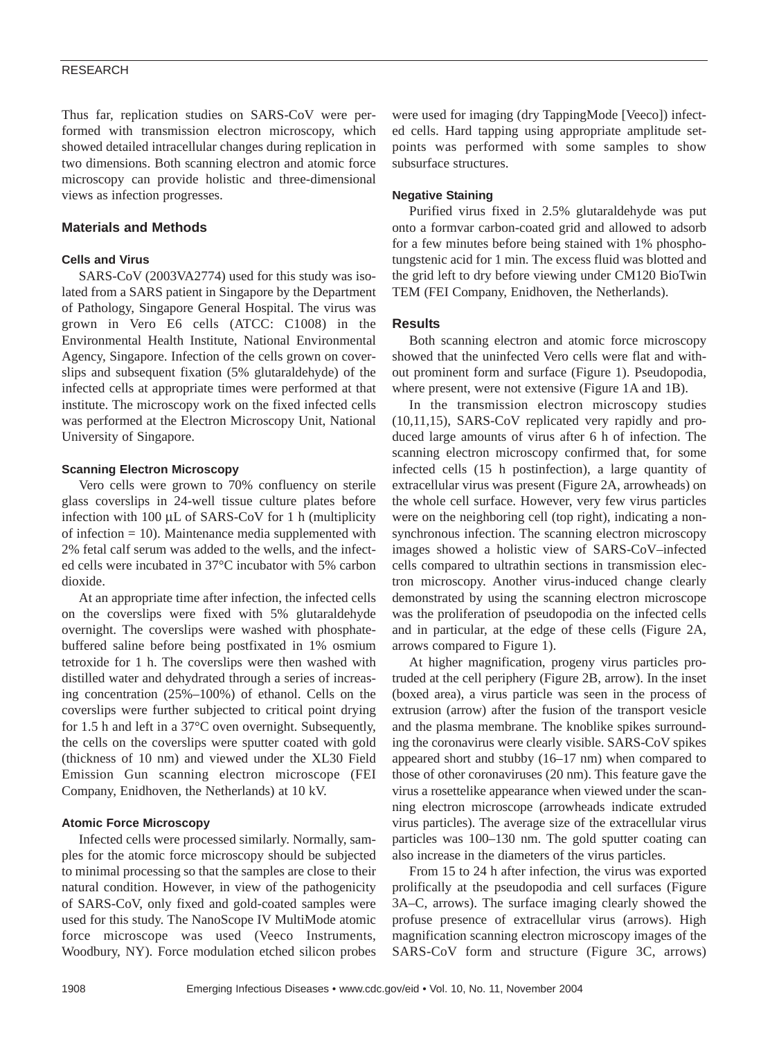Thus far, replication studies on SARS-CoV were performed with transmission electron microscopy, which showed detailed intracellular changes during replication in two dimensions. Both scanning electron and atomic force microscopy can provide holistic and three-dimensional views as infection progresses.

## **Materials and Methods**

## **Cells and Virus**

SARS-CoV (2003VA2774) used for this study was isolated from a SARS patient in Singapore by the Department of Pathology, Singapore General Hospital. The virus was grown in Vero E6 cells (ATCC: C1008) in the Environmental Health Institute, National Environmental Agency, Singapore. Infection of the cells grown on coverslips and subsequent fixation (5% glutaraldehyde) of the infected cells at appropriate times were performed at that institute. The microscopy work on the fixed infected cells was performed at the Electron Microscopy Unit, National University of Singapore.

### **Scanning Electron Microscopy**

Vero cells were grown to 70% confluency on sterile glass coverslips in 24-well tissue culture plates before infection with  $100 \mu L$  of SARS-CoV for 1 h (multiplicity of infection  $= 10$ ). Maintenance media supplemented with 2% fetal calf serum was added to the wells, and the infected cells were incubated in 37°C incubator with 5% carbon dioxide.

At an appropriate time after infection, the infected cells on the coverslips were fixed with 5% glutaraldehyde overnight. The coverslips were washed with phosphatebuffered saline before being postfixated in 1% osmium tetroxide for 1 h. The coverslips were then washed with distilled water and dehydrated through a series of increasing concentration (25%–100%) of ethanol. Cells on the coverslips were further subjected to critical point drying for 1.5 h and left in a 37°C oven overnight. Subsequently, the cells on the coverslips were sputter coated with gold (thickness of 10 nm) and viewed under the XL30 Field Emission Gun scanning electron microscope (FEI Company, Enidhoven, the Netherlands) at 10 kV.

## **Atomic Force Microscopy**

Infected cells were processed similarly. Normally, samples for the atomic force microscopy should be subjected to minimal processing so that the samples are close to their natural condition. However, in view of the pathogenicity of SARS-CoV, only fixed and gold-coated samples were used for this study. The NanoScope IV MultiMode atomic force microscope was used (Veeco Instruments, Woodbury, NY). Force modulation etched silicon probes

were used for imaging (dry TappingMode [Veeco]) infected cells. Hard tapping using appropriate amplitude setpoints was performed with some samples to show subsurface structures.

#### **Negative Staining**

Purified virus fixed in 2.5% glutaraldehyde was put onto a formvar carbon-coated grid and allowed to adsorb for a few minutes before being stained with 1% phosphotungstenic acid for 1 min. The excess fluid was blotted and the grid left to dry before viewing under CM120 BioTwin TEM (FEI Company, Enidhoven, the Netherlands).

#### **Results**

Both scanning electron and atomic force microscopy showed that the uninfected Vero cells were flat and without prominent form and surface (Figure 1). Pseudopodia, where present, were not extensive (Figure 1A and 1B).

In the transmission electron microscopy studies (10,11,15), SARS-CoV replicated very rapidly and produced large amounts of virus after 6 h of infection. The scanning electron microscopy confirmed that, for some infected cells (15 h postinfection), a large quantity of extracellular virus was present (Figure 2A, arrowheads) on the whole cell surface. However, very few virus particles were on the neighboring cell (top right), indicating a nonsynchronous infection. The scanning electron microscopy images showed a holistic view of SARS-CoV–infected cells compared to ultrathin sections in transmission electron microscopy. Another virus-induced change clearly demonstrated by using the scanning electron microscope was the proliferation of pseudopodia on the infected cells and in particular, at the edge of these cells (Figure 2A, arrows compared to Figure 1).

At higher magnification, progeny virus particles protruded at the cell periphery (Figure 2B, arrow). In the inset (boxed area), a virus particle was seen in the process of extrusion (arrow) after the fusion of the transport vesicle and the plasma membrane. The knoblike spikes surrounding the coronavirus were clearly visible. SARS-CoV spikes appeared short and stubby (16–17 nm) when compared to those of other coronaviruses (20 nm). This feature gave the virus a rosettelike appearance when viewed under the scanning electron microscope (arrowheads indicate extruded virus particles). The average size of the extracellular virus particles was 100–130 nm. The gold sputter coating can also increase in the diameters of the virus particles.

From 15 to 24 h after infection, the virus was exported prolifically at the pseudopodia and cell surfaces (Figure 3A–C, arrows). The surface imaging clearly showed the profuse presence of extracellular virus (arrows). High magnification scanning electron microscopy images of the SARS-CoV form and structure (Figure 3C, arrows)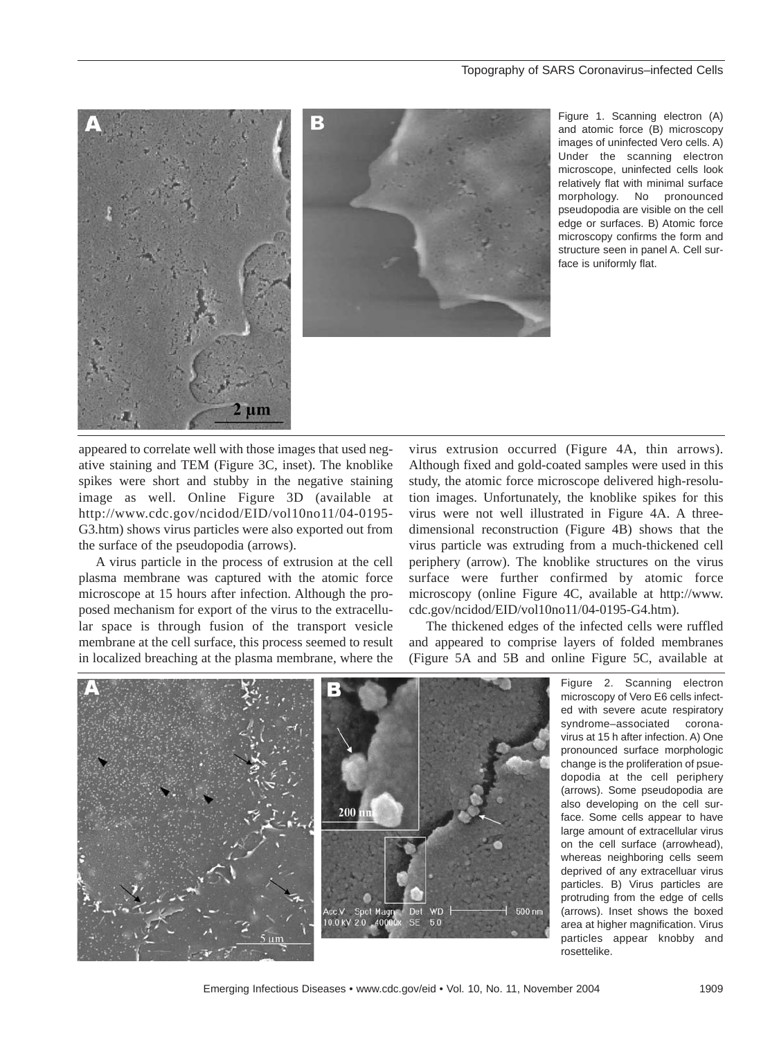



Figure 1. Scanning electron (A) and atomic force (B) microscopy images of uninfected Vero cells. A) Under the scanning electron microscope, uninfected cells look relatively flat with minimal surface morphology. No pronounced pseudopodia are visible on the cell edge or surfaces. B) Atomic force microscopy confirms the form and structure seen in panel A. Cell surface is uniformly flat.

appeared to correlate well with those images that used negative staining and TEM (Figure 3C, inset). The knoblike spikes were short and stubby in the negative staining image as well. Online Figure 3D (available at http://www.cdc.gov/ncidod/EID/vol10no11/04-0195- G3.htm) shows virus particles were also exported out from the surface of the pseudopodia (arrows).

A virus particle in the process of extrusion at the cell plasma membrane was captured with the atomic force microscope at 15 hours after infection. Although the proposed mechanism for export of the virus to the extracellular space is through fusion of the transport vesicle membrane at the cell surface, this process seemed to result in localized breaching at the plasma membrane, where the

virus extrusion occurred (Figure 4A, thin arrows). Although fixed and gold-coated samples were used in this study, the atomic force microscope delivered high-resolution images. Unfortunately, the knoblike spikes for this virus were not well illustrated in Figure 4A. A threedimensional reconstruction (Figure 4B) shows that the virus particle was extruding from a much-thickened cell periphery (arrow). The knoblike structures on the virus surface were further confirmed by atomic force microscopy (online Figure 4C, available at http://www. cdc.gov/ncidod/EID/vol10no11/04-0195-G4.htm).

The thickened edges of the infected cells were ruffled and appeared to comprise layers of folded membranes (Figure 5A and 5B and online Figure 5C, available at



Figure 2. Scanning electron microscopy of Vero E6 cells infected with severe acute respiratory syndrome–associated coronavirus at 15 h after infection. A) One pronounced surface morphologic change is the proliferation of psuedopodia at the cell periphery (arrows). Some pseudopodia are also developing on the cell surface. Some cells appear to have large amount of extracellular virus on the cell surface (arrowhead), whereas neighboring cells seem deprived of any extracelluar virus particles. B) Virus particles are protruding from the edge of cells (arrows). Inset shows the boxed area at higher magnification. Virus particles appear knobby and rosettelike.

Emerging Infectious Diseases • www.cdc.gov/eid • Vol. 10, No. 11, November 2004 1909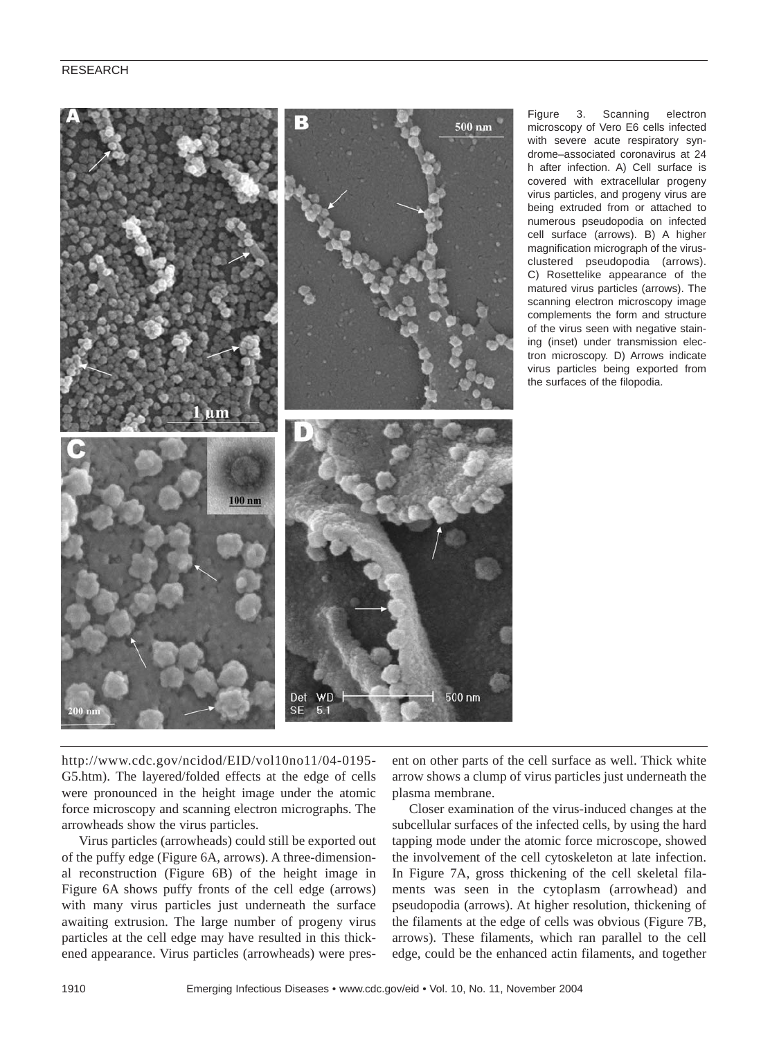

Figure 3. Scanning electron microscopy of Vero E6 cells infected with severe acute respiratory syndrome–associated coronavirus at 24 h after infection. A) Cell surface is covered with extracellular progeny virus particles, and progeny virus are being extruded from or attached to numerous pseudopodia on infected cell surface (arrows). B) A higher magnification micrograph of the virusclustered pseudopodia (arrows). C) Rosettelike appearance of the matured virus particles (arrows). The scanning electron microscopy image complements the form and structure of the virus seen with negative staining (inset) under transmission electron microscopy. D) Arrows indicate virus particles being exported from the surfaces of the filopodia.

http://www.cdc.gov/ncidod/EID/vol10no11/04-0195- G5.htm). The layered/folded effects at the edge of cells were pronounced in the height image under the atomic force microscopy and scanning electron micrographs. The arrowheads show the virus particles.

Virus particles (arrowheads) could still be exported out of the puffy edge (Figure 6A, arrows). A three-dimensional reconstruction (Figure 6B) of the height image in Figure 6A shows puffy fronts of the cell edge (arrows) with many virus particles just underneath the surface awaiting extrusion. The large number of progeny virus particles at the cell edge may have resulted in this thickened appearance. Virus particles (arrowheads) were present on other parts of the cell surface as well. Thick white arrow shows a clump of virus particles just underneath the plasma membrane.

Closer examination of the virus-induced changes at the subcellular surfaces of the infected cells, by using the hard tapping mode under the atomic force microscope, showed the involvement of the cell cytoskeleton at late infection. In Figure 7A, gross thickening of the cell skeletal filaments was seen in the cytoplasm (arrowhead) and pseudopodia (arrows). At higher resolution, thickening of the filaments at the edge of cells was obvious (Figure 7B, arrows). These filaments, which ran parallel to the cell edge, could be the enhanced actin filaments, and together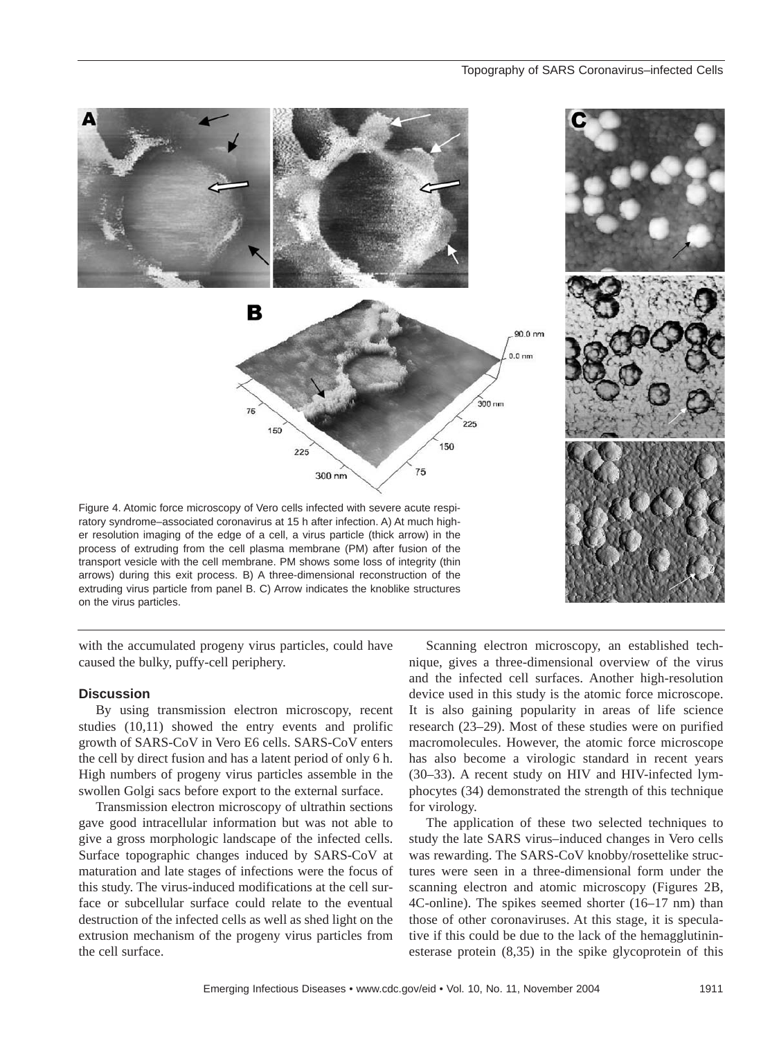#### Topography of SARS Coronavirus–infected Cells



with the accumulated progeny virus particles, could have caused the bulky, puffy-cell periphery.

# **Discussion**

By using transmission electron microscopy, recent studies (10,11) showed the entry events and prolific growth of SARS-CoV in Vero E6 cells. SARS-CoV enters the cell by direct fusion and has a latent period of only 6 h. High numbers of progeny virus particles assemble in the swollen Golgi sacs before export to the external surface.

Transmission electron microscopy of ultrathin sections gave good intracellular information but was not able to give a gross morphologic landscape of the infected cells. Surface topographic changes induced by SARS-CoV at maturation and late stages of infections were the focus of this study. The virus-induced modifications at the cell surface or subcellular surface could relate to the eventual destruction of the infected cells as well as shed light on the extrusion mechanism of the progeny virus particles from the cell surface.

Scanning electron microscopy, an established technique, gives a three-dimensional overview of the virus and the infected cell surfaces. Another high-resolution device used in this study is the atomic force microscope. It is also gaining popularity in areas of life science research (23–29). Most of these studies were on purified macromolecules. However, the atomic force microscope has also become a virologic standard in recent years (30–33). A recent study on HIV and HIV-infected lymphocytes (34) demonstrated the strength of this technique for virology.

The application of these two selected techniques to study the late SARS virus–induced changes in Vero cells was rewarding. The SARS-CoV knobby/rosettelike structures were seen in a three-dimensional form under the scanning electron and atomic microscopy (Figures 2B, 4C-online). The spikes seemed shorter (16–17 nm) than those of other coronaviruses. At this stage, it is speculative if this could be due to the lack of the hemagglutininesterase protein (8,35) in the spike glycoprotein of this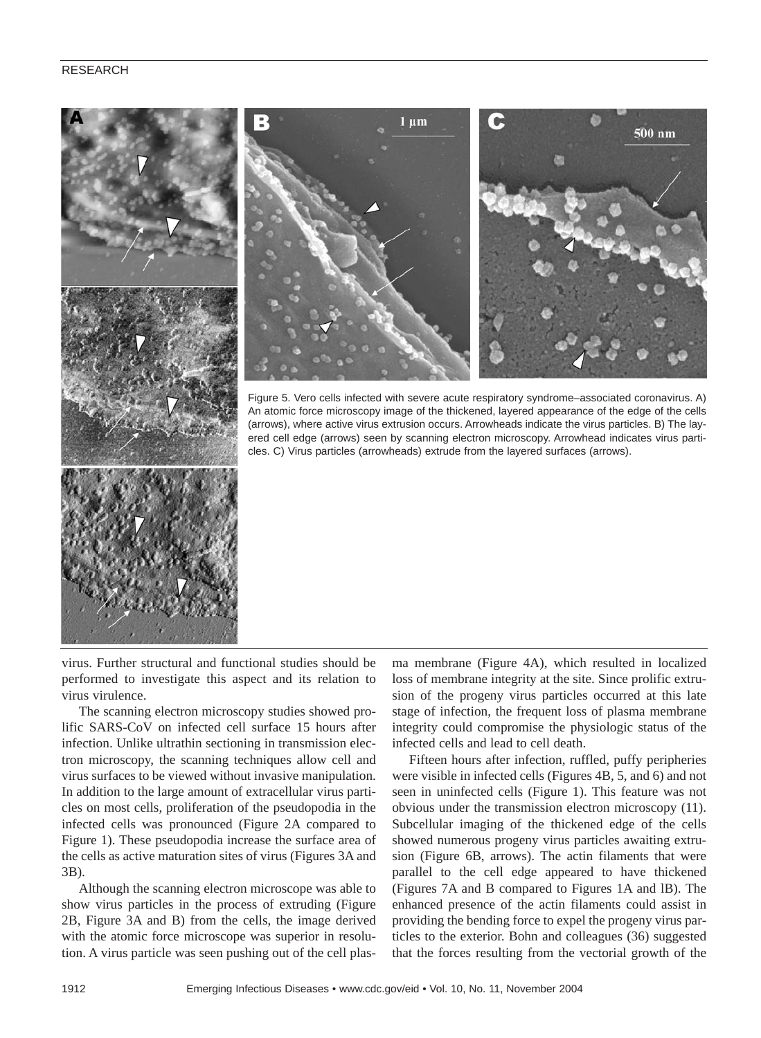

virus. Further structural and functional studies should be performed to investigate this aspect and its relation to virus virulence.

The scanning electron microscopy studies showed prolific SARS-CoV on infected cell surface 15 hours after infection. Unlike ultrathin sectioning in transmission electron microscopy, the scanning techniques allow cell and virus surfaces to be viewed without invasive manipulation. In addition to the large amount of extracellular virus particles on most cells, proliferation of the pseudopodia in the infected cells was pronounced (Figure 2A compared to Figure 1). These pseudopodia increase the surface area of the cells as active maturation sites of virus (Figures 3A and 3B).

Although the scanning electron microscope was able to show virus particles in the process of extruding (Figure 2B, Figure 3A and B) from the cells, the image derived with the atomic force microscope was superior in resolution. A virus particle was seen pushing out of the cell plasma membrane (Figure 4A), which resulted in localized loss of membrane integrity at the site. Since prolific extrusion of the progeny virus particles occurred at this late stage of infection, the frequent loss of plasma membrane integrity could compromise the physiologic status of the infected cells and lead to cell death.

Fifteen hours after infection, ruffled, puffy peripheries were visible in infected cells (Figures 4B, 5, and 6) and not seen in uninfected cells (Figure 1). This feature was not obvious under the transmission electron microscopy (11). Subcellular imaging of the thickened edge of the cells showed numerous progeny virus particles awaiting extrusion (Figure 6B, arrows). The actin filaments that were parallel to the cell edge appeared to have thickened (Figures 7A and B compared to Figures 1A and lB). The enhanced presence of the actin filaments could assist in providing the bending force to expel the progeny virus particles to the exterior. Bohn and colleagues (36) suggested that the forces resulting from the vectorial growth of the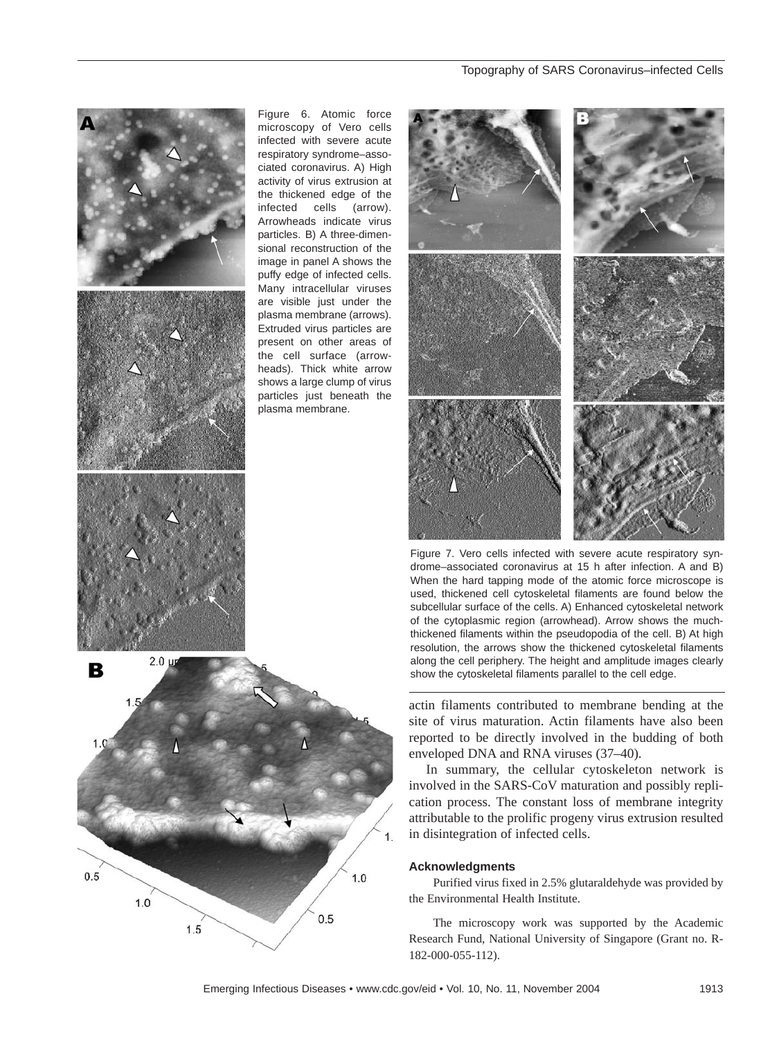